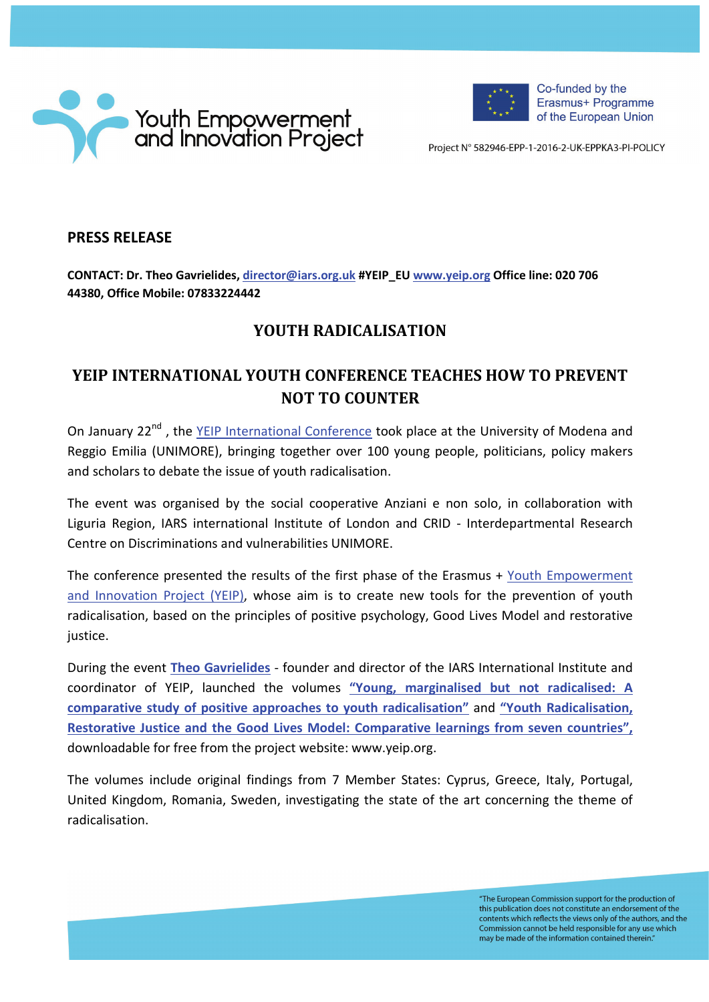



Co-funded by the Erasmus+ Programme of the European Union

Project Nº 582946-EPP-1-2016-2-UK-EPPKA3-PI-POLICY

## **PRESS RELEASE**

**CONTACT: Dr. Theo Gavrielides, [director@iars.org.uk](mailto:director@iars.org.uk) #YEIP\_EU [www.yeip.org](http://www.yeip.org/) Office line: 020 706 44380, Office Mobile: 07833224442**

## **YOUTH RADICALISATION**

## **YEIP INTERNATIONAL YOUTH CONFERENCE TEACHES HOW TO PREVENT NOT TO COUNTER**

On January 22<sup>nd</sup>, the [YEIP International Conference](http://www.yeip.org/) took place at the University of Modena and Reggio Emilia (UNIMORE), bringing together over 100 young people, politicians, policy makers and scholars to debate the issue of youth radicalisation.

The event was organised by the social cooperative Anziani e non solo, in collaboration with Liguria Region, IARS international Institute of London and CRID - Interdepartmental Research Centre on Discriminations and vulnerabilities UNIMORE.

The conference presented the results of the first phase of the Erasmus + [Youth Empowerment](http://www.yeip.org/)  [and Innovation Project](http://www.yeip.org/) (YEIP), whose aim is to create new tools for the prevention of youth radicalisation, based on the principles of positive psychology, Good Lives Model and restorative justice.

During the event **[Theo Gavrielides](http://www.theogavrielides.com/)** - founder and director of the IARS International Institute and coordinator of YEIP, launched the volumes **["Young, marginalised but not radicalised: A](http://yeip.org/download/701/)  [comparative study of positive approaches to youth radicalisation"](http://yeip.org/download/701/)** and **["Youth Radicalisation,](http://yeip.org/download/697)  [Restorative Justice and the Good Lives Model: Comparative learnings from seven countries",](http://yeip.org/download/697)** downloadable for free from the project website: www.yeip.org.

The volumes include original findings from 7 Member States: Cyprus, Greece, Italy, Portugal, United Kingdom, Romania, Sweden, investigating the state of the art concerning the theme of radicalisation.

> "The European Commission support for the production of this publication does not constitute an endorsement of the contents which reflects the views only of the authors, and the Commission cannot be held responsible for any use which may be made of the information contained therein."